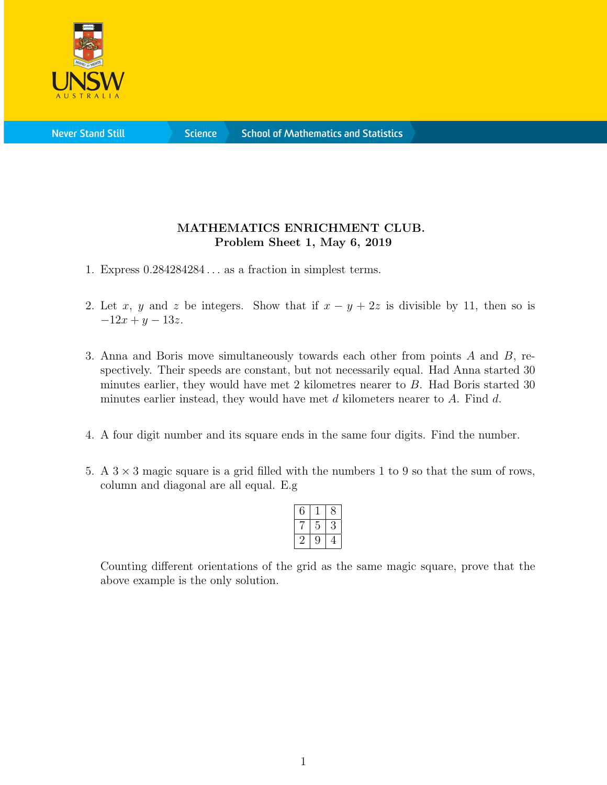

**Science** 

## MATHEMATICS ENRICHMENT CLUB. Problem Sheet 1, May 6, 2019

- 1. Express  $0.284284284...$  as a fraction in simplest terms.
- 2. Let x, y and z be integers. Show that if  $x y + 2z$  is divisible by 11, then so is  $-12x + y - 13z$ .
- 3. Anna and Boris move simultaneously towards each other from points A and B, respectively. Their speeds are constant, but not necessarily equal. Had Anna started 30 minutes earlier, they would have met 2 kilometres nearer to B. Had Boris started 30 minutes earlier instead, they would have met  $d$  kilometers nearer to  $A$ . Find  $d$ .
- 4. A four digit number and its square ends in the same four digits. Find the number.
- 5. A  $3 \times 3$  magic square is a grid filled with the numbers 1 to 9 so that the sum of rows, column and diagonal are all equal. E.g

| ņ |  |
|---|--|
| ۳ |  |

Counting different orientations of the grid as the same magic square, prove that the above example is the only solution.